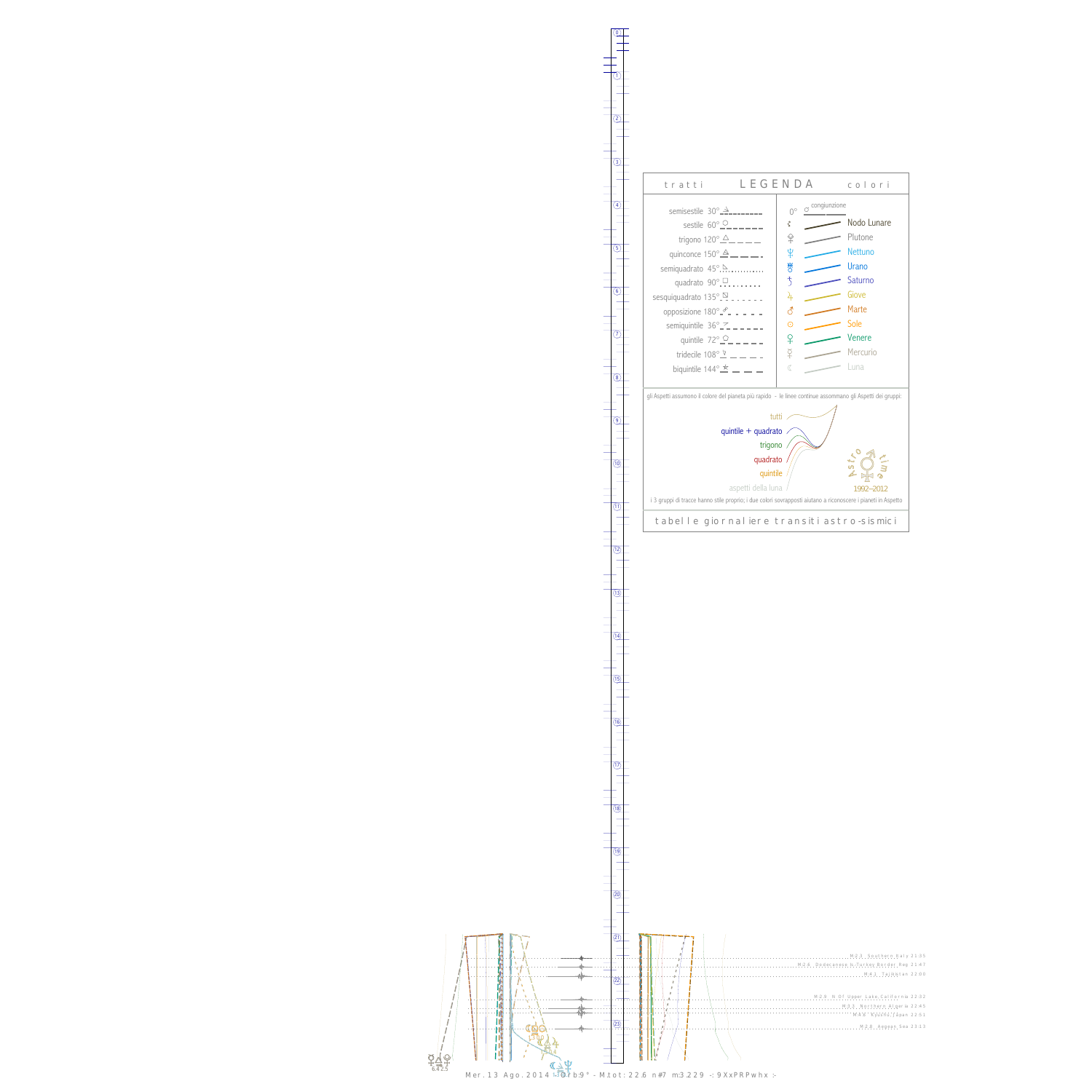